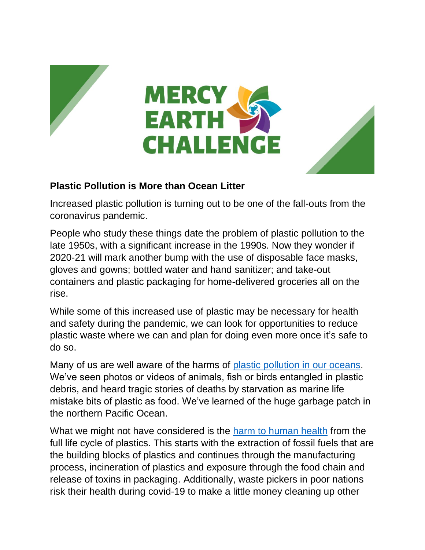



## **Plastic Pollution is More than Ocean Litter**

Increased plastic pollution is turning out to be one of the fall-outs from the coronavirus pandemic.

People who study these things date the problem of plastic pollution to the late 1950s, with a significant increase in the 1990s. Now they wonder if 2020-21 will mark another bump with the use of disposable face masks, gloves and gowns; bottled water and hand sanitizer; and take-out containers and plastic packaging for home-delivered groceries all on the rise.

While some of this increased use of plastic may be necessary for health and safety during the pandemic, we can look for opportunities to reduce plastic waste where we can and plan for doing even more once it's safe to do so.

Many of us are well aware of the harms of [plastic pollution in our oceans.](https://oceanservice.noaa.gov/hazards/marinedebris/plastics-in-the-ocean.html) We've seen photos or videos of animals, fish or birds entangled in plastic debris, and heard tragic stories of deaths by starvation as marine life mistake bits of plastic as food. We've learned of the huge garbage patch in the northern Pacific Ocean.

What we might not have considered is the [harm to human health](https://www.ciel.org/project-update/plastic-and-human-health-a-lifecycle-approach-to-plastic-pollution/) from the full life cycle of plastics. This starts with the extraction of fossil fuels that are the building blocks of plastics and continues through the manufacturing process, incineration of plastics and exposure through the food chain and release of toxins in packaging. Additionally, waste pickers in poor nations risk their health during covid-19 to make a little money cleaning up other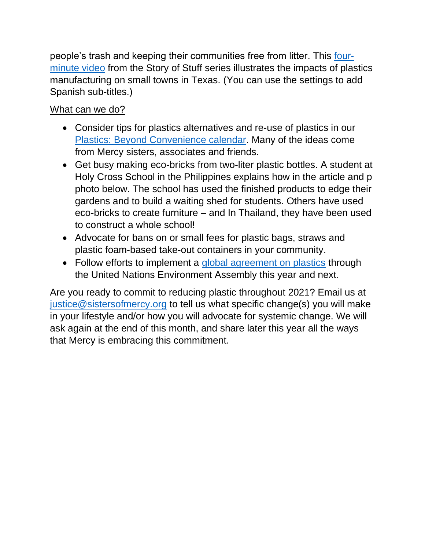people's trash and keeping their communities free from litter. This [four](https://www.storyofstuff.org/movies/plastic/how-plastic-production-pollutes-small-towns/)[minute video](https://www.storyofstuff.org/movies/plastic/how-plastic-production-pollutes-small-towns/) from the Story of Stuff series illustrates the impacts of plastics manufacturing on small towns in Texas. (You can use the settings to add Spanish sub-titles.)

## What can we do?

- Consider tips for plastics alternatives and re-use of plastics in our [Plastics: Beyond Convenience calendar.](https://www.sistersofmercy.org/get-involved/advocate-for-social-justice/mercy-earth-challenge/plastics-beyond-convenience/) Many of the ideas come from Mercy sisters, associates and friends.
- Get busy making eco-bricks from two-liter plastic bottles. A student at Holy Cross School in the Philippines explains how in the article and p photo below. The school has used the finished products to edge their gardens and to build a waiting shed for students. Others have used eco-bricks to create furniture – and In Thailand, they have been used to construct a whole school!
- Advocate for bans on or small fees for plastic bags, straws and plastic foam-based take-out containers in your community.
- Follow efforts to implement a [global agreement on plastics](https://reports.eia-international.org/globalplastics/global-convention/) through the United Nations Environment Assembly this year and next.

Are you ready to commit to reducing plastic throughout 2021? Email us at [justice@sistersofmercy.org](mailto:justice@sistersofmercy.org) to tell us what specific change(s) you will make in your lifestyle and/or how you will advocate for systemic change. We will ask again at the end of this month, and share later this year all the ways that Mercy is embracing this commitment.